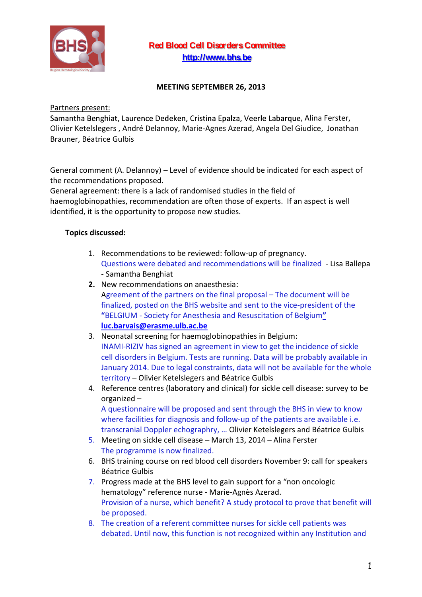

## **Red Blood Cell DisordersCommittee [http://www.bhs.be](http://www.bhs.be/)**

## **MEETING SEPTEMBER 26, 2013**

Partners present:

Samantha Benghiat, Laurence Dedeken, Cristina Epalza, Veerle Labarque, Alina Ferster, Olivier Ketelslegers , André Delannoy, Marie-Agnes Azerad, Angela Del Giudice, Jonathan Brauner, Béatrice Gulbis

General comment (A. Delannoy) – Level of evidence should be indicated for each aspect of the recommendations proposed.

General agreement: there is a lack of randomised studies in the field of haemoglobinopathies, recommendation are often those of experts. If an aspect is well identified, it is the opportunity to propose new studies.

## **Topics discussed:**

- 1. Recommendations to be reviewed: follow-up of pregnancy. Questions were debated and recommendations will be finalized - Lisa Ballepa - Samantha Benghiat
- **2.** New recommendations on anaesthesia:
- Agreement of the partners on the final proposal The document will be finalized, posted on the BHS website and sent to the vice-president of the **"**BELGIUM - Society for Anesthesia and Resuscitation of Belgium**" [luc.barvais@erasme.ulb.ac.be](mailto:luc.barvais@erasme.ulb.ac.be)**
- 3. Neonatal screening for haemoglobinopathies in Belgium: INAMI-RIZIV has signed an agreement in view to get the incidence of sickle cell disorders in Belgium. Tests are running. Data will be probably available in January 2014. Due to legal constraints, data will not be available for the whole territory – Olivier Ketelslegers and Béatrice Gulbis
- 4. Reference centres (laboratory and clinical) for sickle cell disease: survey to be organized –

A questionnaire will be proposed and sent through the BHS in view to know where facilities for diagnosis and follow-up of the patients are available i.e. transcranial Doppler echographry, … Olivier Ketelslegers and Béatrice Gulbis

- 5. Meeting on sickle cell disease March 13, 2014 Alina Ferster The programme is now finalized.
- 6. BHS training course on red blood cell disorders November 9: call for speakers Béatrice Gulbis
- 7. Progress made at the BHS level to gain support for a "non oncologic hematology" reference nurse - Marie-Agnès Azerad. Provision of a nurse, which benefit? A study protocol to prove that benefit will be proposed.
- 8. The creation of a referent committee nurses for sickle cell patients was debated. Until now, this function is not recognized within any Institution and